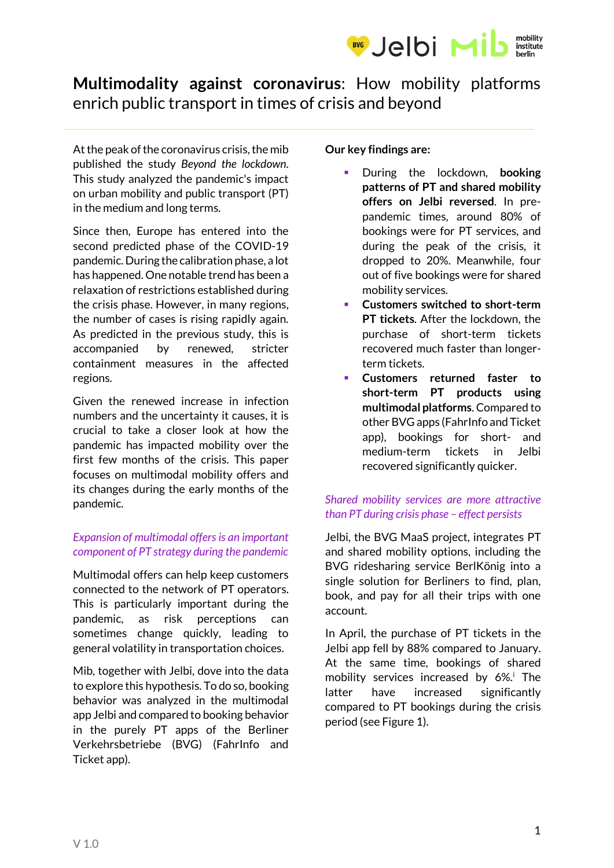

# **Multimodality against coronavirus**: How mobility platforms enrich public transport in times of crisis and beyond

At the peak of the coronavirus crisis, the mib published the study *Beyond the lockdown*. This study analyzed the pandemic's impact on urban mobility and public transport (PT) in the medium and long terms.

Since then, Europe has entered into the second predicted phase of the COVID-19 pandemic. During the calibration phase, a lot has happened. One notable trend has been a relaxation of restrictions established during the crisis phase. However, in many regions, the number of cases is rising rapidly again. As predicted in the previous study, this is accompanied by renewed, stricter containment measures in the affected regions.

Given the renewed increase in infection numbers and the uncertainty it causes, it is crucial to take a closer look at how the pandemic has impacted mobility over the first few months of the crisis. This paper focuses on multimodal mobility offers and its changes during the early months of the pandemic.

#### *Expansion of multimodal offers is an important component of PT strategy during the pandemic*

Multimodal offers can help keep customers connected to the network of PT operators. This is particularly important during the pandemic, as risk perceptions can sometimes change quickly, leading to general volatility in transportation choices.

Mib, together with Jelbi, dove into the data to explore this hypothesis. To do so, booking behavior was analyzed in the multimodal app Jelbi and compared to booking behavior in the purely PT apps of the Berliner Verkehrsbetriebe (BVG) (FahrInfo and Ticket app).

**Our key findings are:**

- During the lockdown, **booking patterns of PT and shared mobility offers on Jelbi reversed**. In prepandemic times, around 80% of bookings were for PT services, and during the peak of the crisis, it dropped to 20%. Meanwhile, four out of five bookings were for shared mobility services.
- **Customers switched to short-term PT tickets**. After the lockdown, the purchase of short-term tickets recovered much faster than longerterm tickets.
- **Customers returned faster to short-term PT products using multimodal platforms**. Compared to other BVG apps (FahrInfo and Ticket app), bookings for short- and medium-term tickets in Jelbi recovered significantly quicker.

### *Shared mobility services are more attractive than PT during crisis phase – effect persists*

Jelbi, the BVG MaaS project, integrates PT and shared mobility options, including the BVG ridesharing service BerlKönig into a single solution for Berliners to find, plan, book, and pay for all their trips with one account.

In April, the purchase of PT tickets in the Jelbi app fell by 88% compared to January. At the same time, bookings of shared mobility services increased by 6%.<sup>i</sup> The latter have increased significantly compared to PT bookings during the crisis period (see Figure 1).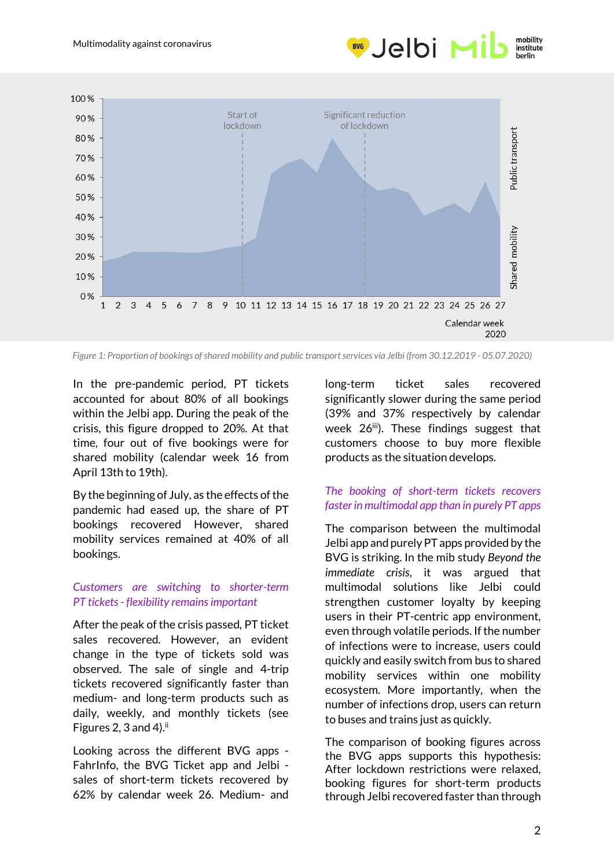



*Figure 1: Proportion of bookings of shared mobility and public transport services via Jelbi (from 30.12.2019 - 05.07.2020)*

In the pre-pandemic period, PT tickets accounted for about 80% of all bookings within the Jelbi app. During the peak of the crisis, this figure dropped to 20%. At that time, four out of five bookings were for shared mobility (calendar week 16 from April 13th to 19th).

By the beginning of July, as the effects of the pandemic had eased up, the share of PT bookings recovered However, shared mobility services remained at 40% of all bookings.

#### *Customers are switching to shorter-term PT tickets - flexibility remains important*

After the peak of the crisis passed, PT ticket sales recovered. However, an evident change in the type of tickets sold was observed. The sale of single and 4-trip tickets recovered significantly faster than medium- and long-term products such as daily, weekly, and monthly tickets (see Figures 2, 3 and 4). $ii$ 

Looking across the different BVG apps - FahrInfo, the BVG Ticket app and Jelbi sales of short-term tickets recovered by 62% by calendar week 26. Medium- and long-term ticket sales recovered significantly slower during the same period (39% and 37% respectively by calendar week 26<sup>iii</sup>). These findings suggest that customers choose to buy more flexible products as the situation develops.

#### *The booking of short-term tickets recovers faster in multimodal app than in purely PT apps*

The comparison between the multimodal Jelbi app and purelyPT apps provided by the BVG is striking. In the mib study *Beyond the immediate crisis*, it was argued that multimodal solutions like Jelbi could strengthen customer loyalty by keeping users in their PT-centric app environment, even through volatile periods. If the number of infections were to increase, users could quickly and easily switch from bus to shared mobility services within one mobility ecosystem. More importantly, when the number of infections drop, users can return to buses and trains just as quickly.

The comparison of booking figures across the BVG apps supports this hypothesis: After lockdown restrictions were relaxed, booking figures for short-term products through Jelbi recovered faster than through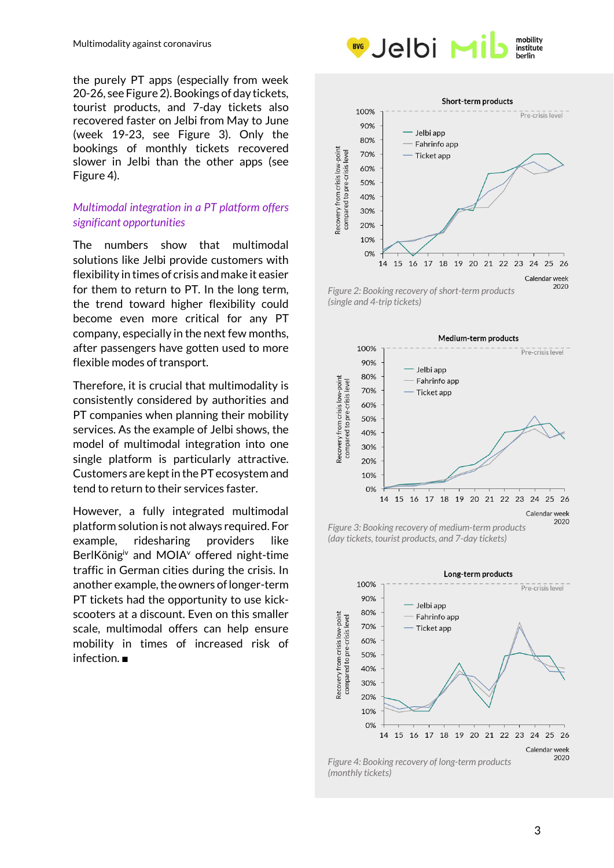the purely PT apps (especially from week 20-26, see Figure 2). Bookings of day tickets, tourist products, and 7-day tickets also recovered faster on Jelbi from May to June (week 19-23, see Figure 3). Only the bookings of monthly tickets recovered slower in Jelbi than the other apps (see Figure 4).

#### *Multimodal integration in a PT platform offers significant opportunities*

The numbers show that multimodal solutions like Jelbi provide customers with flexibility in times of crisis and make it easier for them to return to PT. In the long term, the trend toward higher flexibility could become even more critical for any PT company, especially in the next few months, after passengers have gotten used to more flexible modes of transport.

Therefore, it is crucial that multimodality is consistently considered by authorities and PT companies when planning their mobility services. As the example of Jelbi shows, the model of multimodal integration into one single platform is particularly attractive. Customers are kept in the PT ecosystem and tend to return to their services faster.

However, a fully integrated multimodal platform solution is not always required. For example, ridesharing providers like BerlKönig<sup>iv</sup> and MOIA<sup>v</sup> offered night-time traffic in German cities during the crisis. In another example, the owners of longer-term PT tickets had the opportunity to use kickscooters at a discount. Even on this smaller scale, multimodal offers can help ensure mobility in times of increased risk of infection. ■





*Figure 2: Booking recovery of short-term products (single and 4-trip tickets)*



*Figure 3: Booking recovery of medium-term products (day tickets, tourist products, and 7-day tickets)*



*Figure 4: Booking recovery of long-term products (monthly tickets)*